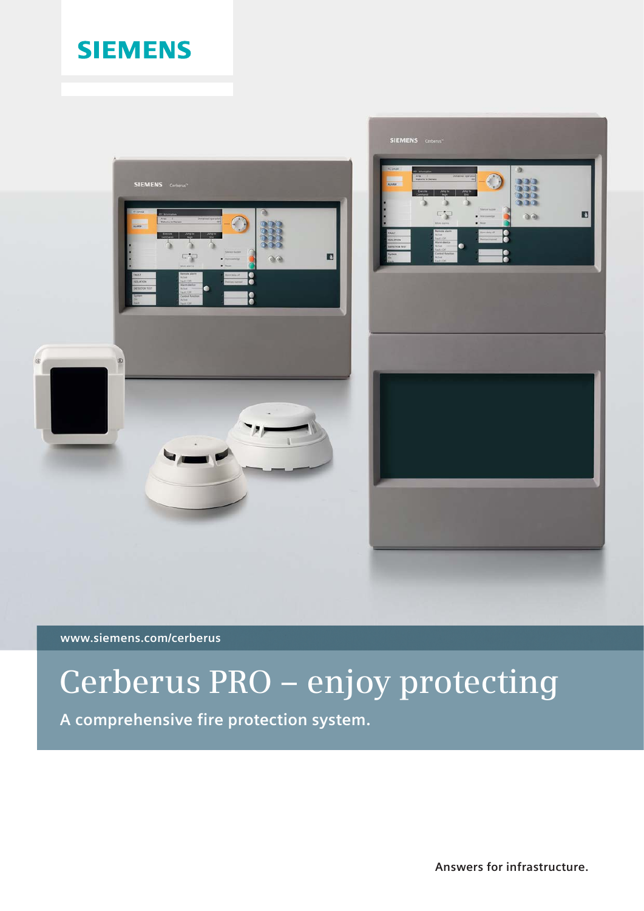# **SIEMENS**



**www.siemens.com/cerberus**

# **Cerberus PRO – enjoy protecting**

**A comprehensive fire protection system.**

**Answers for infrastructure.**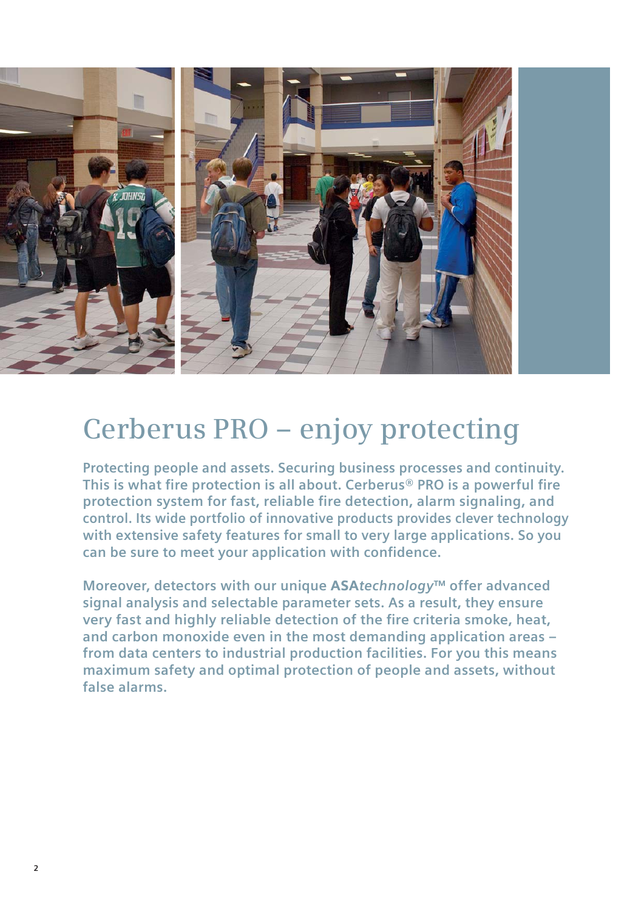

# **Cerberus PRO – enjoy protecting**

**Protecting people and assets. Securing business processes and continuity.**  This is what fire protection is all about. Cerberus<sup>®</sup> PRO is a powerful fire protection system for fast, reliable fire detection, alarm signaling, and **control. Its wide portfolio of innovative products provides clever technology with extensive safety features for small to very large applications. So you**  can be sure to meet your application with confidence.

**Moreover, detectors with our unique** ASA*technology***™ offer advanced signal analysis and selectable parameter sets. As a result, they ensure very fast and highly reliable detection of the fire criteria smoke, heat, and carbon monoxide even in the most demanding application areas – from data centers to industrial production facilities. For you this means maximum safety and optimal protection of people and assets, without false alarms.**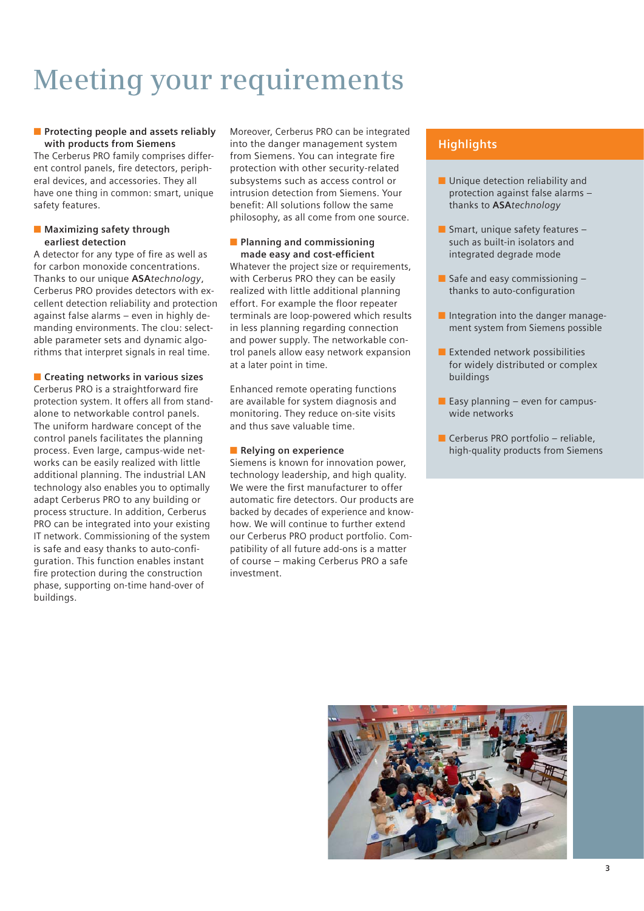# **Meeting your requirements**

### ■ **Protecting people and assets reliably with products from Siemens**

The Cerberus PRO family comprises different control panels, fire detectors, peripheral devices, and accessories. They all have one thing in common: smart, unique safety features.

#### ■ Maximizing safety through **earliest detection**

A detector for any type of fire as well as for carbon monoxide concentrations. Thanks to our unique **ASA***technology*, Cerberus PRO provides detectors with excellent detection reliability and protection against false alarms – even in highly demanding environments. The clou: selectable parameter sets and dynamic algorithms that interpret signals in real time.

■ **Creating networks in various sizes** Cerberus PRO is a straightforward fire protection system. It offers all from standalone to networkable control panels. The uniform hardware concept of the control panels facilitates the planning process. Even large, campus-wide networks can be easily realized with little additional planning. The industrial LAN technology also enables you to optimally adapt Cerberus PRO to any building or process structure. In addition, Cerberus PRO can be integrated into your existing IT network. Commissioning of the system is safe and easy thanks to auto-configuration. This function enables instant fire protection during the construction phase, supporting on-time hand-over of buildings.

Moreover, Cerberus PRO can be integrated into the danger management system from Siemens. You can integrate fire protection with other security-related subsystems such as access control or intrusion detection from Siemens. Your benefit: All solutions follow the same philosophy, as all come from one source.

#### ■ **Planning and commissioning** made easy and cost-efficient

Whatever the project size or requirements, with Cerberus PRO they can be easily realized with little additional planning effort. For example the floor repeater terminals are loop-powered which results in less planning regarding connection and power supply. The networkable control panels allow easy network expansion at a later point in time.

Enhanced remote operating functions are available for system diagnosis and monitoring. They reduce on-site visits and thus save valuable time.

### ■ **Relying on experience**

Siemens is known for innovation power, technology leadership, and high quality. We were the first manufacturer to offer automatic fire detectors. Our products are backed by decades of experience and knowhow. We will continue to further extend our Cerberus PRO product portfolio. Compatibility of all future add-ons is a matter of course – making Cerberus PRO a safe investment.

- Unique detection reliability and protection against false alarms – thanks to **ASA***technology*
- Smart, unique safety features such as built-in isolators and integrated degrade mode
- $\blacksquare$  Safe and easy commissioning  $\blacksquare$ thanks to auto-configuration
- Integration into the danger management system from Siemens possible
- Extended network possibilities for widely distributed or complex buildings
- $\blacksquare$  Easy planning even for campuswide networks
- Cerberus PRO portfolio reliable, high-quality products from Siemens

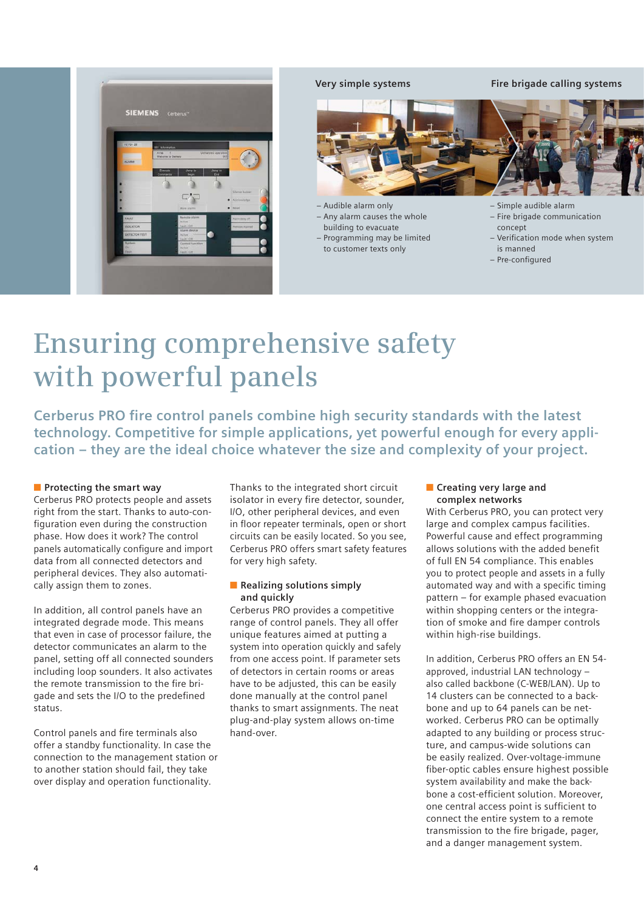

**Very simple systems Fire brigade calling systems**



– Audible alarm only

– Any alarm causes the whole building to evacuate

– Programming may be limited to customer texts only

– Simple audible alarm

- Fire brigade communication concept
- Verification mode when system is manned
- Pre-configured

# **Ensuring comprehensive safety with powerful panels**

**Cerberus PRO fire control panels combine high security standards with the latest technology. Competitive for simple applications, yet powerful enough for every application – they are the ideal choice whatever the size and complexity of your project.** 

### ■ **Protecting the smart way**

Cerberus PRO protects people and assets right from the start. Thanks to auto-configuration even during the construction phase. How does it work? The control panels automatically configure and import data from all connected detectors and peripheral devices. They also automatically assign them to zones.

In addition, all control panels have an integrated degrade mode. This means that even in case of processor failure, the detector communicates an alarm to the panel, setting off all connected sounders including loop sounders. It also activates the remote transmission to the fire brigade and sets the I/O to the predefined status.

Control panels and fire terminals also offer a standby functionality. In case the connection to the management station or to another station should fail, they take over display and operation functionality.

Thanks to the integrated short circuit isolator in every fire detector, sounder, I/O, other peripheral devices, and even in floor repeater terminals, open or short circuits can be easily located. So you see, Cerberus PRO offers smart safety features for very high safety.

### ■ **Realizing solutions simply and quickly**

Cerberus PRO provides a competitive range of control panels. They all offer unique features aimed at putting a system into operation quickly and safely from one access point. If parameter sets of detectors in certain rooms or areas have to be adjusted, this can be easily done manually at the control panel thanks to smart assignments. The neat plug-and-play system allows on-time hand-over.

#### ■ **Creating very large and complex networks**

With Cerberus PRO, you can protect very large and complex campus facilities. Powerful cause and effect programming allows solutions with the added benefit of full EN 54 compliance. This enables you to protect people and assets in a fully automated way and with a specific timing pattern – for example phased evacuation within shopping centers or the integration of smoke and fire damper controls within high-rise buildings.

In addition, Cerberus PRO offers an EN 54 approved, industrial LAN technology – also called backbone (C-WEB/LAN). Up to 14 clusters can be connected to a backbone and up to 64 panels can be networked. Cerberus PRO can be optimally adapted to any building or process structure, and campus-wide solutions can be easily realized. Over-voltage-immune fiber-optic cables ensure highest possible system availability and make the backbone a cost-efficient solution. Moreover, one central access point is sufficient to connect the entire system to a remote transmission to the fire brigade, pager, and a danger management system.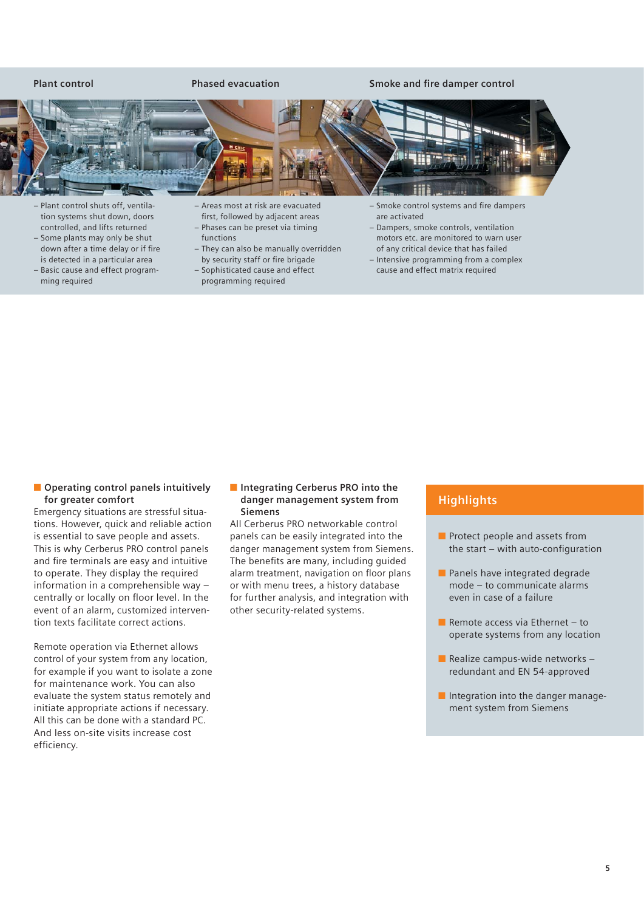#### Plant control **Phased evacuation** Smoke and fire damper control



- Plant control shuts off, ventilation systems shut down, doors controlled, and lifts returned – Some plants may only be shut
- down after a time delay or if fire is detected in a particular area – Basic cause and effect program-
- ming required
- Areas most at risk are evacuated first, followed by adjacent areas – Phases can be preset via timing
- functions – They can also be manually overridden
- by security staff or fire brigade
- Sophisticated cause and effect programming required
- Smoke control systems and fire dampers are activated
- Dampers, smoke controls, ventilation motors etc. are monitored to warn user of any critical device that has failed
- Intensive programming from a complex cause and effect matrix required

■ **Operating control panels intuitively for greater comfort**

Emergency situations are stressful situations. However, quick and reliable action is essential to save people and assets. This is why Cerberus PRO control panels and fire terminals are easy and intuitive to operate. They display the required information in a comprehensible way – centrally or locally on floor level. In the event of an alarm, customized intervention texts facilitate correct actions.

Remote operation via Ethernet allows control of your system from any location, for example if you want to isolate a zone for maintenance work. You can also evaluate the system status remotely and initiate appropriate actions if necessary. All this can be done with a standard PC. And less on-site visits increase cost efficiency.

#### ■ **Integrating Cerberus PRO into the danger management system from Siemens**

All Cerberus PRO networkable control panels can be easily integrated into the danger management system from Siemens. The benefits are many, including guided alarm treatment, navigation on floor plans or with menu trees, a history database for further analysis, and integration with other security-related systems.

- Protect people and assets from the start  $-$  with auto-configuration
- Panels have integrated degrade mode – to communicate alarms even in case of a failure
- Remote access via Ethernet  $-$  to operate systems from any location
- $\blacksquare$  Realize campus-wide networks redundant and EN 54-approved
- Integration into the danger management system from Siemens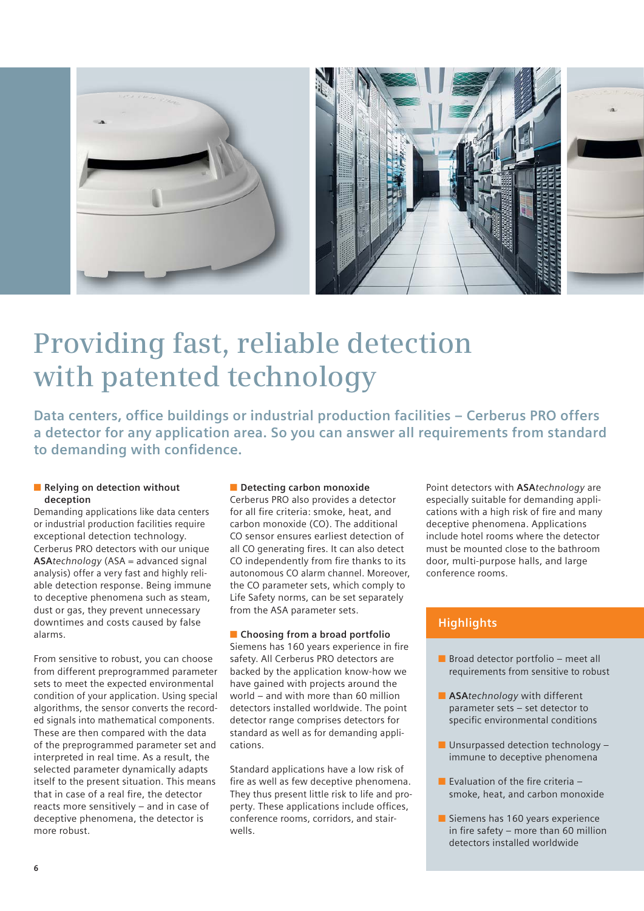

# **Providing fast, reliable detection with patented technology**

**Data centers, office buildings or industrial production facilities - Cerberus PRO offers a detector for any application area. So you can answer all requirements from standard**  to demanding with confidence.

#### ■ **Relying on detection without deception**

Demanding applications like data centers or industrial production facilities require exceptional detection technology. Cerberus PRO detectors with our unique **ASA***technology* (ASA = advanced signal analysis) offer a very fast and highly reliable detection response. Being immune to deceptive phenomena such as steam, dust or gas, they prevent unnecessary downtimes and costs caused by false alarms.

From sensitive to robust, you can choose from different preprogrammed parameter sets to meet the expected environmental condition of your application. Using special algorithms, the sensor converts the recorded signals into mathematical components. These are then compared with the data of the preprogrammed parameter set and interpreted in real time. As a result, the selected parameter dynamically adapts itself to the present situation. This means that in case of a real fire, the detector reacts more sensitively – and in case of deceptive phenomena, the detector is more robust.

### ■ **Detecting carbon monoxide**

Cerberus PRO also provides a detector for all fire criteria: smoke, heat, and carbon monoxide (CO). The additional CO sensor ensures earliest detection of all CO generating fires. It can also detect CO independently from fire thanks to its autonomous CO alarm channel. Moreover, the CO parameter sets, which comply to Life Safety norms, can be set separately from the ASA parameter sets.

### ■ **Choosing from a broad portfolio**

Siemens has 160 years experience in fire safety. All Cerberus PRO detectors are backed by the application know-how we have gained with projects around the world – and with more than 60 million detectors installed worldwide. The point detector range comprises detectors for standard as well as for demanding applications.

Standard applications have a low risk of fire as well as few deceptive phenomena. They thus present little risk to life and property. These applications include offices, conference rooms, corridors, and stairwells.

Point detectors with **ASA***technology* are especially suitable for demanding applications with a high risk of fire and many deceptive phenomena. Applications include hotel rooms where the detector must be mounted close to the bathroom door, multi-purpose halls, and large conference rooms.

- Broad detector portfolio meet all requirements from sensitive to robust
- **ASA***technology* with different parameter sets – set detector to specific environmental conditions
- Unsurpassed detection technology immune to deceptive phenomena
- $\blacksquare$  Evaluation of the fire criteria smoke, heat, and carbon monoxide
- Siemens has 160 years experience in fire safety – more than 60 million detectors installed worldwide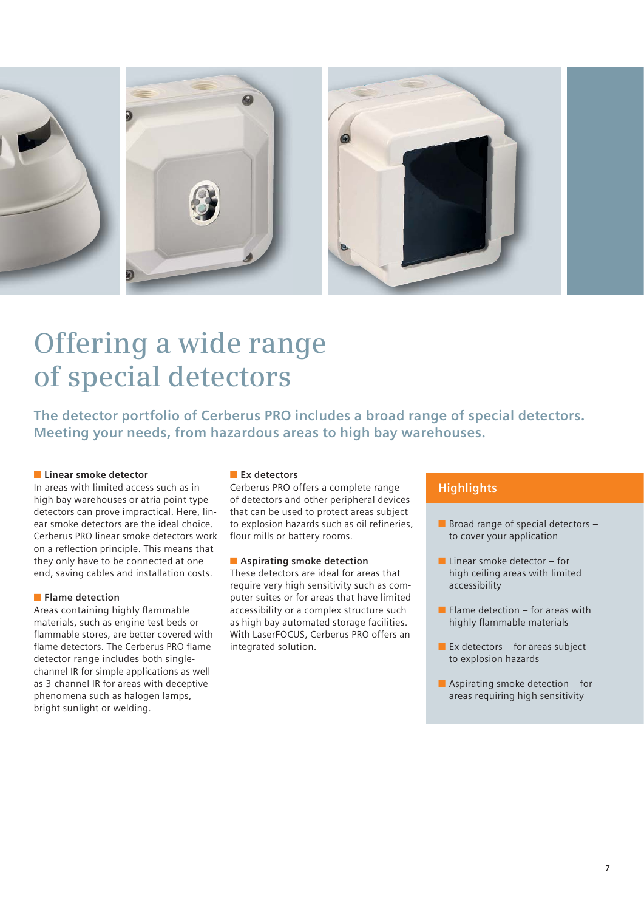

# **Offering a wide range of special detectors**

**The detector portfolio of Cerberus PRO includes a broad range of special detectors. Meeting your needs, from hazardous areas to high bay warehouses.**

### ■ **Linear smoke detector**

In areas with limited access such as in high bay warehouses or atria point type detectors can prove impractical. Here, linear smoke detectors are the ideal choice. Cerberus PRO linear smoke detectors work on a reflection principle. This means that they only have to be connected at one end, saving cables and installation costs.

### ■ **Flame detection**

Areas containing highly flammable materials, such as engine test beds or flammable stores, are better covered with flame detectors. The Cerberus PRO flame detector range includes both singlechannel IR for simple applications as well as 3-channel IR for areas with deceptive phenomena such as halogen lamps, bright sunlight or welding.

### ■ **Ex detectors**

Cerberus PRO offers a complete range of detectors and other peripheral devices that can be used to protect areas subject to explosion hazards such as oil refineries, flour mills or battery rooms.

### ■ Aspirating smoke detection

These detectors are ideal for areas that require very high sensitivity such as computer suites or for areas that have limited accessibility or a complex structure such as high bay automated storage facilities. With LaserFOCUS, Cerberus PRO offers an integrated solution.

- Broad range of special detectors to cover your application
- $\blacksquare$  Linear smoke detector for high ceiling areas with limited accessibility
- $\blacksquare$  Flame detection for areas with highly flammable materials
- $\blacksquare$  Ex detectors for areas subject to explosion hazards
- $\blacksquare$  Aspirating smoke detection for areas requiring high sensitivity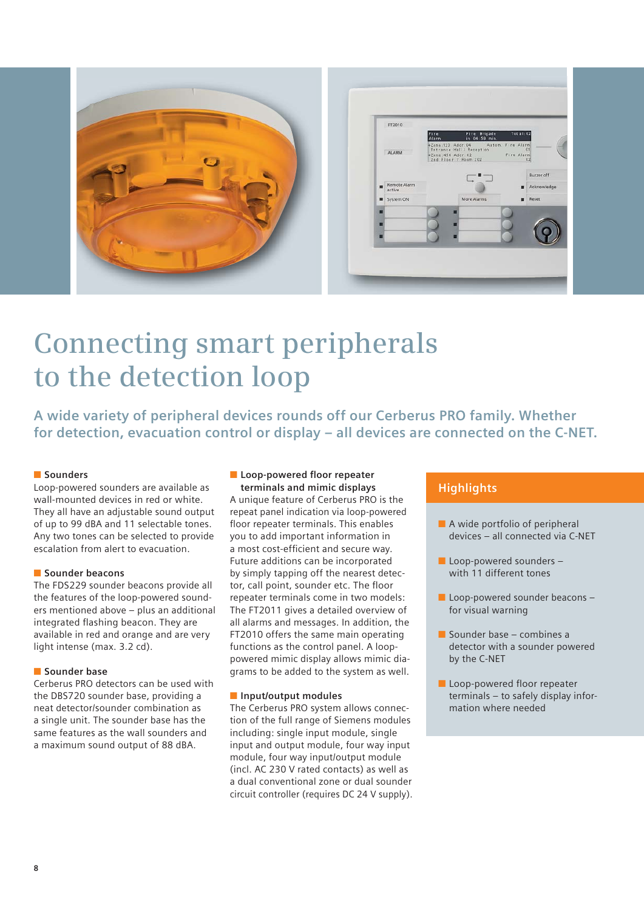

# **Connecting smart peripherals to the detection loop**

**A wide variety of peripheral devices rounds off our Cerberus PRO family. Whether for detection, evacuation control or display – all devices are connected on the C-NET.**

### ■ **Sounders**

Loop-powered sounders are available as wall-mounted devices in red or white. They all have an adjustable sound output of up to 99 dBA and 11 selectable tones. Any two tones can be selected to provide escalation from alert to evacuation.

#### ■ **Sounder beacons**

The FDS229 sounder beacons provide all the features of the loop-powered sounders mentioned above – plus an additional integrated flashing beacon. They are available in red and orange and are very light intense (max. 3.2 cd).

#### ■ **Sounder base**

Cerberus PRO detectors can be used with the DBS720 sounder base, providing a neat detector/sounder combination as a single unit. The sounder base has the same features as the wall sounders and a maximum sound output of 88 dBA.

#### ■ Loop-powered floor repeater **terminals and mimic displays**

A unique feature of Cerberus PRO is the repeat panel indication via loop-powered floor repeater terminals. This enables you to add important information in a most cost-efficient and secure way. Future additions can be incorporated by simply tapping off the nearest detector, call point, sounder etc. The floor repeater terminals come in two models: The FT2011 gives a detailed overview of all alarms and messages. In addition, the FT2010 offers the same main operating functions as the control panel. A looppowered mimic display allows mimic diagrams to be added to the system as well.

#### ■ **Input/output modules**

The Cerberus PRO system allows connection of the full range of Siemens modules including: single input module, single input and output module, four way input module, four way input/output module (incl. AC 230 V rated contacts) as well as a dual conventional zone or dual sounder circuit controller (requires DC 24 V supply).

- A wide portfolio of peripheral devices – all connected via C-NET
- Loop-powered sounders with 11 different tones
- Loop-powered sounder beacons for visual warning
- Sounder base combines a detector with a sounder powered by the C-NET
- Loop-powered floor repeater terminals – to safely display information where needed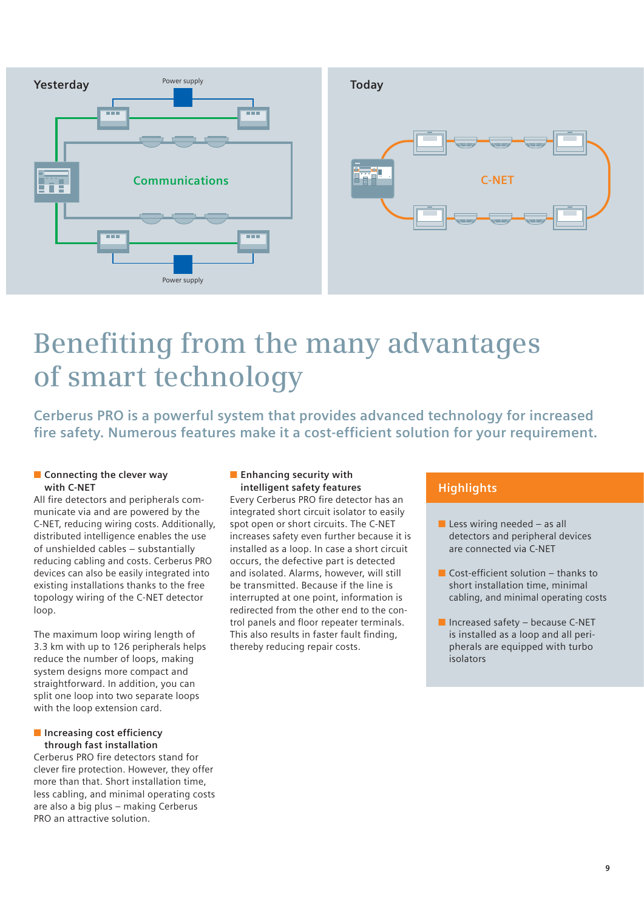

# **Benefiting from the many advantages of smart technology**

**Cerberus PRO is a powerful system that provides advanced technology for increased**  fire safety. Numerous features make it a cost-efficient solution for your requirement.

#### ■ **Connecting the clever way with C-NET**

All fire detectors and peripherals communicate via and are powered by the C-NET, reducing wiring costs. Additionally, distributed intelligence enables the use of unshielded cables – substantially reducing cabling and costs. Cerberus PRO devices can also be easily integrated into existing installations thanks to the free topology wiring of the C-NET detector loop.

The maximum loop wiring length of 3.3 km with up to 126 peripherals helps reduce the number of loops, making system designs more compact and straightforward. In addition, you can split one loop into two separate loops with the loop extension card.

### $\blacksquare$  Increasing cost efficiency **through fast installation**

Cerberus PRO fire detectors stand for clever fire protection. However, they offer more than that. Short installation time, less cabling, and minimal operating costs are also a big plus – making Cerberus PRO an attractive solution.

### ■ **Enhancing security with intelligent safety features**

Every Cerberus PRO fire detector has an integrated short circuit isolator to easily spot open or short circuits. The C-NET increases safety even further because it is installed as a loop. In case a short circuit occurs, the defective part is detected and isolated. Alarms, however, will still be transmitted. Because if the line is interrupted at one point, information is redirected from the other end to the control panels and floor repeater terminals. This also results in faster fault finding, thereby reducing repair costs.

- $\blacksquare$  Less wiring needed as all detectors and peripheral devices are connected via C-NET
- $\blacksquare$  Cost-efficient solution thanks to short installation time, minimal cabling, and minimal operating costs
- Increased safety because C-NET is installed as a loop and all peripherals are equipped with turbo isolators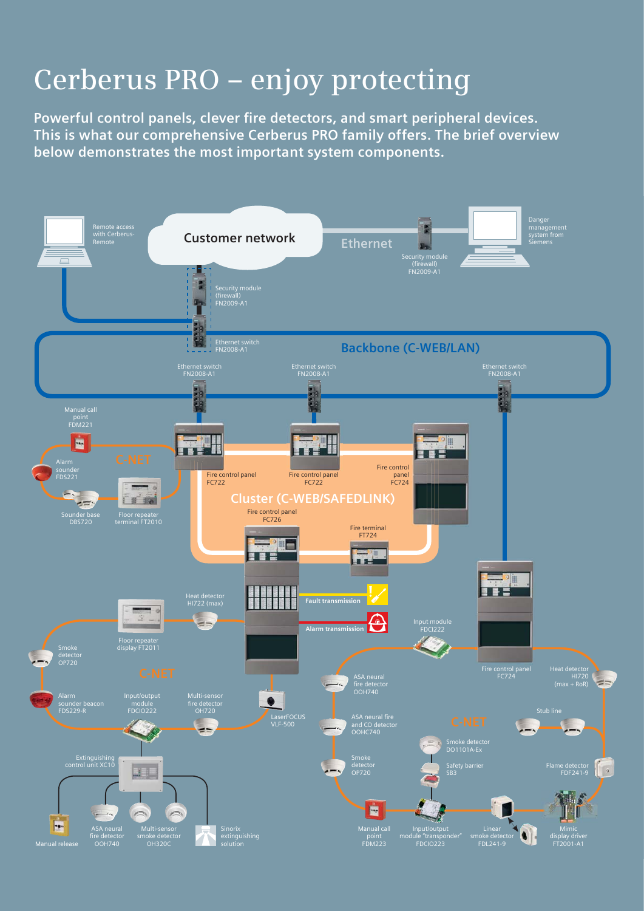# **Cerberus PRO – enjoy protecting**

Powerful control panels, clever fire detectors, and smart peripheral devices. **This is what our comprehensive Cerberus PRO family offers. The brief overview below demonstrates the most important system components.**

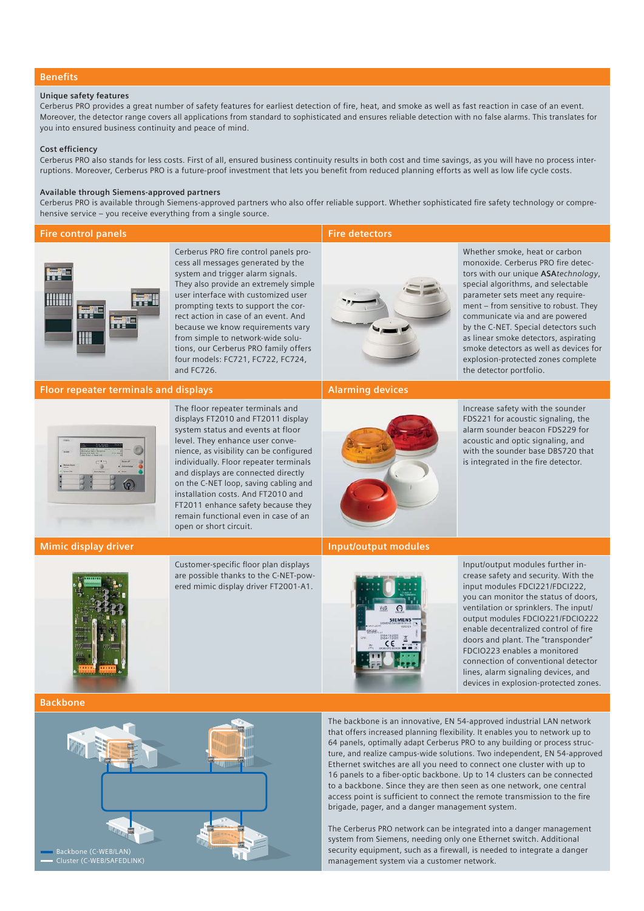#### **Benefits**

#### **Unique safety features**

Cerberus PRO provides a great number of safety features for earliest detection of fire, heat, and smoke as well as fast reaction in case of an event. Moreover, the detector range covers all applications from standard to sophisticated and ensures reliable detection with no false alarms. This translates for you into ensured business continuity and peace of mind.

#### **Cost efficiency**

Cerberus PRO also stands for less costs. First of all, ensured business continuity results in both cost and time savings, as you will have no process interruptions. Moreover, Cerberus PRO is a future-proof investment that lets you benefit from reduced planning efforts as well as low life cycle costs.

#### **Available through Siemens-approved partners**

Cerberus PRO is available through Siemens-approved partners who also offer reliable support. Whether sophisticated fire safety technology or comprehensive service – you receive everything from a single source.

#### **Fire control panels Fire detectors**



#### **Floor repeater terminals and displays Alarming devices** Alarming devices

The floor repeater terminals and displays FT2010 and FT2011 display system status and events at floor level. They enhance user convenience, as visibility can be configured individually. Floor repeater terminals and displays are connected directly on the C-NET loop, saving cabling and installation costs. And FT2010 and FT2011 enhance safety because they remain functional even in case of an open or short circuit.

and FC726.

Cerberus PRO fire control panels process all messages generated by the system and trigger alarm signals. They also provide an extremely simple user interface with customized user prompting texts to support the correct action in case of an event. And because we know requirements vary from simple to network-wide solutions, our Cerberus PRO family offers four models: FC721, FC722, FC724,

#### **Mimic display driver Input/output modules**



Customer-specific floor plan displays are possible thanks to the C-NET-powered mimic display driver FT2001-A1.



Whether smoke, heat or carbon monoxide. Cerberus PRO fire detectors with our unique **ASA***technology*, special algorithms, and selectable parameter sets meet any requirement – from sensitive to robust. They communicate via and are powered by the C-NET. Special detectors such as linear smoke detectors, aspirating smoke detectors as well as devices for explosion-protected zones complete the detector portfolio.



Increase safety with the sounder FDS221 for acoustic signaling, the alarm sounder beacon FDS229 for acoustic and optic signaling, and with the sounder base DBS720 that is integrated in the fire detector.



Input/output modules further increase safety and security. With the input modules FDCI221/FDCI222, you can monitor the status of doors, ventilation or sprinklers. The input/ output modules FDCIO221/FDCIO222 enable decentralized control of fire doors and plant. The "transponder" FDCIO223 enables a monitored connection of conventional detector lines, alarm signaling devices, and devices in explosion-protected zones.

The backbone is an innovative, EN 54-approved industrial LAN network that offers increased planning flexibility. It enables you to network up to 64 panels, optimally adapt Cerberus PRO to any building or process structure, and realize campus-wide solutions. Two independent, EN 54-approved Ethernet switches are all you need to connect one cluster with up to 16 panels to a fiber-optic backbone. Up to 14 clusters can be connected to a backbone. Since they are then seen as one network, one central access point is sufficient to connect the remote transmission to the fire brigade, pager, and a danger management system.

The Cerberus PRO network can be integrated into a danger management system from Siemens, needing only one Ethernet switch. Additional security equipment, such as a firewall, is needed to integrate a danger management system via a customer network.

**Backbone**